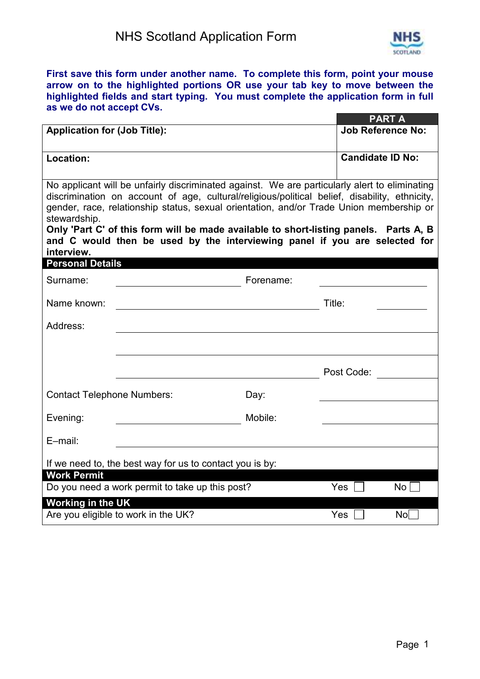

**First save this form under another name. To complete this form, point your mouse arrow on to the highlighted portions OR use your tab key to move between the highlighted fields and start typing. You must complete the application form in full as we do not accept CVs.** 

|                                                                                                                                                                                                                                                                                                           |           | PART A                   |
|-----------------------------------------------------------------------------------------------------------------------------------------------------------------------------------------------------------------------------------------------------------------------------------------------------------|-----------|--------------------------|
| <b>Application for (Job Title):</b>                                                                                                                                                                                                                                                                       |           | <b>Job Reference No:</b> |
|                                                                                                                                                                                                                                                                                                           |           |                          |
| Location:                                                                                                                                                                                                                                                                                                 |           | <b>Candidate ID No:</b>  |
|                                                                                                                                                                                                                                                                                                           |           |                          |
| No applicant will be unfairly discriminated against. We are particularly alert to eliminating<br>discrimination on account of age, cultural/religious/political belief, disability, ethnicity,<br>gender, race, relationship status, sexual orientation, and/or Trade Union membership or<br>stewardship. |           |                          |
| Only 'Part C' of this form will be made available to short-listing panels. Parts A, B                                                                                                                                                                                                                     |           |                          |
| and C would then be used by the interviewing panel if you are selected for<br>interview.                                                                                                                                                                                                                  |           |                          |
| <b>Personal Details</b>                                                                                                                                                                                                                                                                                   |           |                          |
| Surname:                                                                                                                                                                                                                                                                                                  | Forename: |                          |
| Name known:                                                                                                                                                                                                                                                                                               |           | Title:                   |
| Address:                                                                                                                                                                                                                                                                                                  |           |                          |
|                                                                                                                                                                                                                                                                                                           |           |                          |
|                                                                                                                                                                                                                                                                                                           |           | Post Code:               |
| <b>Contact Telephone Numbers:</b>                                                                                                                                                                                                                                                                         | Day:      |                          |
| Evening:                                                                                                                                                                                                                                                                                                  | Mobile:   |                          |
| E-mail:                                                                                                                                                                                                                                                                                                   |           |                          |
|                                                                                                                                                                                                                                                                                                           |           |                          |
| If we need to, the best way for us to contact you is by:<br><b>Work Permit</b>                                                                                                                                                                                                                            |           |                          |
| Do you need a work permit to take up this post?                                                                                                                                                                                                                                                           |           | Yes<br>No <sub>1</sub>   |
| <b>Working in the UK</b>                                                                                                                                                                                                                                                                                  |           |                          |
| Are you eligible to work in the UK?                                                                                                                                                                                                                                                                       |           | $N$ o $\Box$<br>Yes      |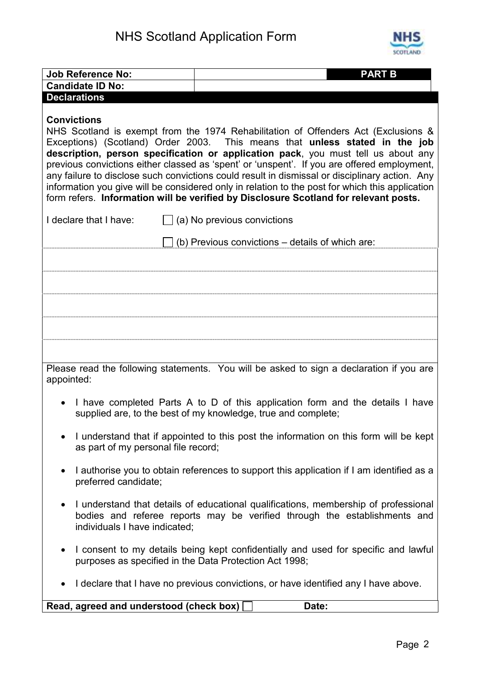

| <b>Job Reference No:</b>                | <b>PART B</b>                                                                                                                                                                                                                                                                                                                                                                                                                                                                                                                                                                                                                                      |  |  |
|-----------------------------------------|----------------------------------------------------------------------------------------------------------------------------------------------------------------------------------------------------------------------------------------------------------------------------------------------------------------------------------------------------------------------------------------------------------------------------------------------------------------------------------------------------------------------------------------------------------------------------------------------------------------------------------------------------|--|--|
| <b>Candidate ID No:</b>                 |                                                                                                                                                                                                                                                                                                                                                                                                                                                                                                                                                                                                                                                    |  |  |
| <b>Declarations</b>                     |                                                                                                                                                                                                                                                                                                                                                                                                                                                                                                                                                                                                                                                    |  |  |
| <b>Convictions</b>                      | NHS Scotland is exempt from the 1974 Rehabilitation of Offenders Act (Exclusions &<br>Exceptions) (Scotland) Order 2003. This means that unless stated in the job<br>description, person specification or application pack, you must tell us about any<br>previous convictions either classed as 'spent' or 'unspent'. If you are offered employment,<br>any failure to disclose such convictions could result in dismissal or disciplinary action. Any<br>information you give will be considered only in relation to the post for which this application<br>form refers. Information will be verified by Disclosure Scotland for relevant posts. |  |  |
| I declare that I have:                  | $\Box$ (a) No previous convictions                                                                                                                                                                                                                                                                                                                                                                                                                                                                                                                                                                                                                 |  |  |
|                                         | (b) Previous convictions – details of which are:                                                                                                                                                                                                                                                                                                                                                                                                                                                                                                                                                                                                   |  |  |
|                                         |                                                                                                                                                                                                                                                                                                                                                                                                                                                                                                                                                                                                                                                    |  |  |
|                                         |                                                                                                                                                                                                                                                                                                                                                                                                                                                                                                                                                                                                                                                    |  |  |
|                                         |                                                                                                                                                                                                                                                                                                                                                                                                                                                                                                                                                                                                                                                    |  |  |
|                                         |                                                                                                                                                                                                                                                                                                                                                                                                                                                                                                                                                                                                                                                    |  |  |
|                                         |                                                                                                                                                                                                                                                                                                                                                                                                                                                                                                                                                                                                                                                    |  |  |
|                                         |                                                                                                                                                                                                                                                                                                                                                                                                                                                                                                                                                                                                                                                    |  |  |
|                                         |                                                                                                                                                                                                                                                                                                                                                                                                                                                                                                                                                                                                                                                    |  |  |
| appointed:                              | Please read the following statements. You will be asked to sign a declaration if you are                                                                                                                                                                                                                                                                                                                                                                                                                                                                                                                                                           |  |  |
|                                         |                                                                                                                                                                                                                                                                                                                                                                                                                                                                                                                                                                                                                                                    |  |  |
|                                         | I have completed Parts A to D of this application form and the details I have<br>supplied are, to the best of my knowledge, true and complete;                                                                                                                                                                                                                                                                                                                                                                                                                                                                                                     |  |  |
| as part of my personal file record;     | I understand that if appointed to this post the information on this form will be kept                                                                                                                                                                                                                                                                                                                                                                                                                                                                                                                                                              |  |  |
| preferred candidate;                    | I authorise you to obtain references to support this application if I am identified as a                                                                                                                                                                                                                                                                                                                                                                                                                                                                                                                                                           |  |  |
| individuals I have indicated;           | I understand that details of educational qualifications, membership of professional<br>bodies and referee reports may be verified through the establishments and                                                                                                                                                                                                                                                                                                                                                                                                                                                                                   |  |  |
| $\bullet$                               | I consent to my details being kept confidentially and used for specific and lawful<br>purposes as specified in the Data Protection Act 1998;                                                                                                                                                                                                                                                                                                                                                                                                                                                                                                       |  |  |
| ٠                                       | I declare that I have no previous convictions, or have identified any I have above.                                                                                                                                                                                                                                                                                                                                                                                                                                                                                                                                                                |  |  |
| Read, agreed and understood (check box) | Date:                                                                                                                                                                                                                                                                                                                                                                                                                                                                                                                                                                                                                                              |  |  |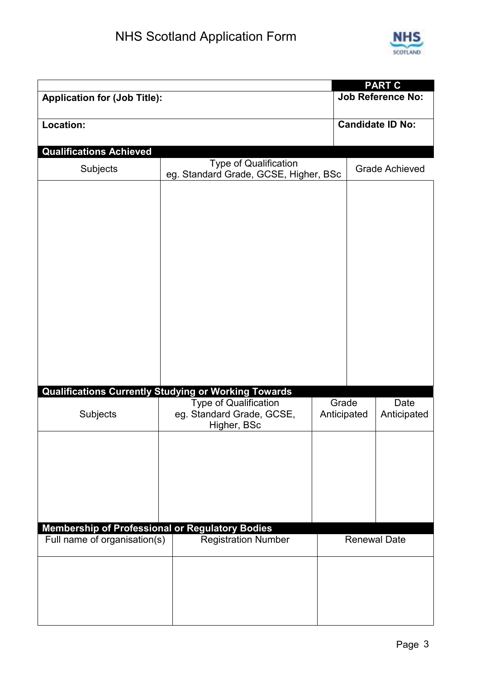

|                                                 |                                                             |             | <b>PART C</b>            |
|-------------------------------------------------|-------------------------------------------------------------|-------------|--------------------------|
| <b>Application for (Job Title):</b>             |                                                             |             | <b>Job Reference No:</b> |
|                                                 |                                                             |             |                          |
| Location:                                       |                                                             |             | <b>Candidate ID No:</b>  |
|                                                 |                                                             |             |                          |
| <b>Qualifications Achieved</b>                  |                                                             |             |                          |
|                                                 | <b>Type of Qualification</b>                                |             |                          |
| Subjects                                        | eg. Standard Grade, GCSE, Higher, BSc                       |             | <b>Grade Achieved</b>    |
|                                                 |                                                             |             |                          |
|                                                 |                                                             |             |                          |
|                                                 |                                                             |             |                          |
|                                                 |                                                             |             |                          |
|                                                 |                                                             |             |                          |
|                                                 |                                                             |             |                          |
|                                                 |                                                             |             |                          |
|                                                 |                                                             |             |                          |
|                                                 |                                                             |             |                          |
|                                                 |                                                             |             |                          |
|                                                 |                                                             |             |                          |
|                                                 |                                                             |             |                          |
|                                                 |                                                             |             |                          |
|                                                 |                                                             |             |                          |
|                                                 |                                                             |             |                          |
|                                                 |                                                             |             |                          |
|                                                 |                                                             |             |                          |
|                                                 | <b>Qualifications Currently Studying or Working Towards</b> |             |                          |
|                                                 | <b>Type of Qualification</b>                                | Grade       | Date                     |
| Subjects                                        | eg. Standard Grade, GCSE,                                   | Anticipated | Anticipated              |
|                                                 | Higher, BSc                                                 |             |                          |
|                                                 |                                                             |             |                          |
|                                                 |                                                             |             |                          |
|                                                 |                                                             |             |                          |
|                                                 |                                                             |             |                          |
|                                                 |                                                             |             |                          |
|                                                 |                                                             |             |                          |
|                                                 |                                                             |             |                          |
| Membership of Professional or Regulatory Bodies |                                                             |             |                          |
| Full name of organisation(s)                    | <b>Registration Number</b>                                  |             | <b>Renewal Date</b>      |
|                                                 |                                                             |             |                          |
|                                                 |                                                             |             |                          |
|                                                 |                                                             |             |                          |
|                                                 |                                                             |             |                          |
|                                                 |                                                             |             |                          |
|                                                 |                                                             |             |                          |
|                                                 |                                                             |             |                          |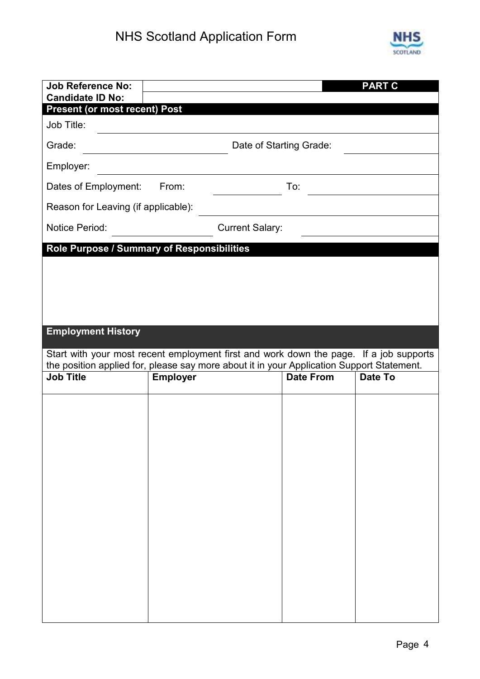

| <b>Job Reference No:</b><br><b>Candidate ID No:</b> |                                                                                                                                                                                     |                         | <b>PART C</b> |
|-----------------------------------------------------|-------------------------------------------------------------------------------------------------------------------------------------------------------------------------------------|-------------------------|---------------|
| <b>Present (or most recent) Post</b>                |                                                                                                                                                                                     |                         |               |
| Job Title:                                          |                                                                                                                                                                                     |                         |               |
| Grade:                                              |                                                                                                                                                                                     | Date of Starting Grade: |               |
| Employer:                                           |                                                                                                                                                                                     |                         |               |
| Dates of Employment:                                | From:                                                                                                                                                                               | To:                     |               |
| Reason for Leaving (if applicable):                 |                                                                                                                                                                                     |                         |               |
| <b>Notice Period:</b>                               | <b>Current Salary:</b>                                                                                                                                                              |                         |               |
|                                                     | Role Purpose / Summary of Responsibilities                                                                                                                                          |                         |               |
|                                                     |                                                                                                                                                                                     |                         |               |
|                                                     |                                                                                                                                                                                     |                         |               |
|                                                     |                                                                                                                                                                                     |                         |               |
| <b>Employment History</b>                           |                                                                                                                                                                                     |                         |               |
|                                                     | Start with your most recent employment first and work down the page. If a job supports<br>the position applied for, please say more about it in your Application Support Statement. |                         |               |
| <b>Job Title</b>                                    | <b>Employer</b>                                                                                                                                                                     | <b>Date From</b>        | Date To       |
|                                                     |                                                                                                                                                                                     |                         |               |
|                                                     |                                                                                                                                                                                     |                         |               |
|                                                     |                                                                                                                                                                                     |                         |               |
|                                                     |                                                                                                                                                                                     |                         |               |
|                                                     |                                                                                                                                                                                     |                         |               |
|                                                     |                                                                                                                                                                                     |                         |               |
|                                                     |                                                                                                                                                                                     |                         |               |
|                                                     |                                                                                                                                                                                     |                         |               |
|                                                     |                                                                                                                                                                                     |                         |               |
|                                                     |                                                                                                                                                                                     |                         |               |
|                                                     |                                                                                                                                                                                     |                         |               |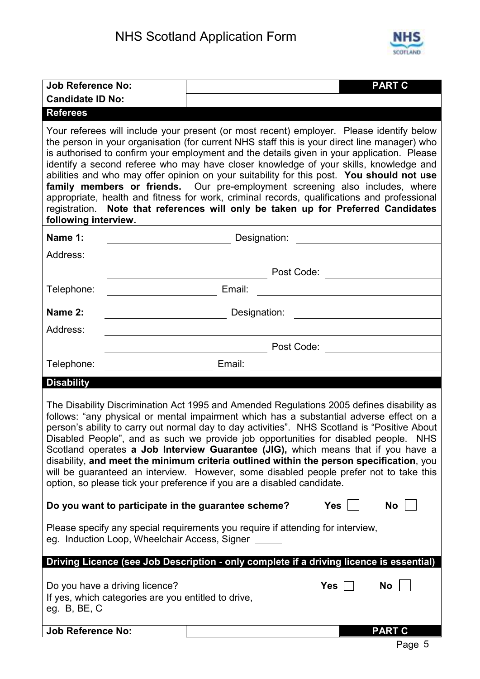

| <b>Job Reference No:</b>                                                                                                                                                                                                                                                                                                                                                                                                                                                                                                                                                                                                                                                                                                         | <b>PART C</b>                                                                                                                                                                                                                                                                                                                                                                                                                                                                                                                                                                                                                                                                                                                                    |  |  |
|----------------------------------------------------------------------------------------------------------------------------------------------------------------------------------------------------------------------------------------------------------------------------------------------------------------------------------------------------------------------------------------------------------------------------------------------------------------------------------------------------------------------------------------------------------------------------------------------------------------------------------------------------------------------------------------------------------------------------------|--------------------------------------------------------------------------------------------------------------------------------------------------------------------------------------------------------------------------------------------------------------------------------------------------------------------------------------------------------------------------------------------------------------------------------------------------------------------------------------------------------------------------------------------------------------------------------------------------------------------------------------------------------------------------------------------------------------------------------------------------|--|--|
| <b>Candidate ID No:</b>                                                                                                                                                                                                                                                                                                                                                                                                                                                                                                                                                                                                                                                                                                          |                                                                                                                                                                                                                                                                                                                                                                                                                                                                                                                                                                                                                                                                                                                                                  |  |  |
| <b>Referees</b>                                                                                                                                                                                                                                                                                                                                                                                                                                                                                                                                                                                                                                                                                                                  |                                                                                                                                                                                                                                                                                                                                                                                                                                                                                                                                                                                                                                                                                                                                                  |  |  |
| following interview.                                                                                                                                                                                                                                                                                                                                                                                                                                                                                                                                                                                                                                                                                                             | Your referees will include your present (or most recent) employer. Please identify below<br>the person in your organisation (for current NHS staff this is your direct line manager) who<br>is authorised to confirm your employment and the details given in your application. Please<br>identify a second referee who may have closer knowledge of your skills, knowledge and<br>abilities and who may offer opinion on your suitability for this post. You should not use<br>family members or friends. Our pre-employment screening also includes, where<br>appropriate, health and fitness for work, criminal records, qualifications and professional<br>registration. Note that references will only be taken up for Preferred Candidates |  |  |
| Name 1:<br>$\overline{\phantom{a}}$                                                                                                                                                                                                                                                                                                                                                                                                                                                                                                                                                                                                                                                                                              | Designation: <u>___________________________</u>                                                                                                                                                                                                                                                                                                                                                                                                                                                                                                                                                                                                                                                                                                  |  |  |
| Address:                                                                                                                                                                                                                                                                                                                                                                                                                                                                                                                                                                                                                                                                                                                         |                                                                                                                                                                                                                                                                                                                                                                                                                                                                                                                                                                                                                                                                                                                                                  |  |  |
|                                                                                                                                                                                                                                                                                                                                                                                                                                                                                                                                                                                                                                                                                                                                  | Post Code:                                                                                                                                                                                                                                                                                                                                                                                                                                                                                                                                                                                                                                                                                                                                       |  |  |
| Telephone:                                                                                                                                                                                                                                                                                                                                                                                                                                                                                                                                                                                                                                                                                                                       | Email:                                                                                                                                                                                                                                                                                                                                                                                                                                                                                                                                                                                                                                                                                                                                           |  |  |
| Name 2:                                                                                                                                                                                                                                                                                                                                                                                                                                                                                                                                                                                                                                                                                                                          | Designation:                                                                                                                                                                                                                                                                                                                                                                                                                                                                                                                                                                                                                                                                                                                                     |  |  |
| Address:                                                                                                                                                                                                                                                                                                                                                                                                                                                                                                                                                                                                                                                                                                                         |                                                                                                                                                                                                                                                                                                                                                                                                                                                                                                                                                                                                                                                                                                                                                  |  |  |
|                                                                                                                                                                                                                                                                                                                                                                                                                                                                                                                                                                                                                                                                                                                                  | Post Code:                                                                                                                                                                                                                                                                                                                                                                                                                                                                                                                                                                                                                                                                                                                                       |  |  |
| Telephone:                                                                                                                                                                                                                                                                                                                                                                                                                                                                                                                                                                                                                                                                                                                       | Email:                                                                                                                                                                                                                                                                                                                                                                                                                                                                                                                                                                                                                                                                                                                                           |  |  |
| <b>Disability</b>                                                                                                                                                                                                                                                                                                                                                                                                                                                                                                                                                                                                                                                                                                                |                                                                                                                                                                                                                                                                                                                                                                                                                                                                                                                                                                                                                                                                                                                                                  |  |  |
| The Disability Discrimination Act 1995 and Amended Regulations 2005 defines disability as<br>follows: "any physical or mental impairment which has a substantial adverse effect on a<br>person's ability to carry out normal day to day activities". NHS Scotland is "Positive About<br>Disabled People", and as such we provide job opportunities for disabled people. NHS<br>Scotland operates a Job Interview Guarantee (JIG), which means that if you have a<br>disability, and meet the minimum criteria outlined within the person specification, you<br>will be guaranteed an interview. However, some disabled people prefer not to take this<br>option, so please tick your preference if you are a disabled candidate. |                                                                                                                                                                                                                                                                                                                                                                                                                                                                                                                                                                                                                                                                                                                                                  |  |  |
| Do you want to participate in the guarantee scheme?                                                                                                                                                                                                                                                                                                                                                                                                                                                                                                                                                                                                                                                                              | <b>Yes</b><br>No                                                                                                                                                                                                                                                                                                                                                                                                                                                                                                                                                                                                                                                                                                                                 |  |  |
| eg. Induction Loop, Wheelchair Access, Signer                                                                                                                                                                                                                                                                                                                                                                                                                                                                                                                                                                                                                                                                                    | Please specify any special requirements you require if attending for interview,                                                                                                                                                                                                                                                                                                                                                                                                                                                                                                                                                                                                                                                                  |  |  |
|                                                                                                                                                                                                                                                                                                                                                                                                                                                                                                                                                                                                                                                                                                                                  | Driving Licence (see Job Description - only complete if a driving licence is essential)                                                                                                                                                                                                                                                                                                                                                                                                                                                                                                                                                                                                                                                          |  |  |
| Do you have a driving licence?<br>If yes, which categories are you entitled to drive,<br>eg. $B$ , $BE$ , $C$                                                                                                                                                                                                                                                                                                                                                                                                                                                                                                                                                                                                                    | <b>No</b><br><b>Yes</b>                                                                                                                                                                                                                                                                                                                                                                                                                                                                                                                                                                                                                                                                                                                          |  |  |
| <b>Job Reference No:</b>                                                                                                                                                                                                                                                                                                                                                                                                                                                                                                                                                                                                                                                                                                         | <b>PART C</b>                                                                                                                                                                                                                                                                                                                                                                                                                                                                                                                                                                                                                                                                                                                                    |  |  |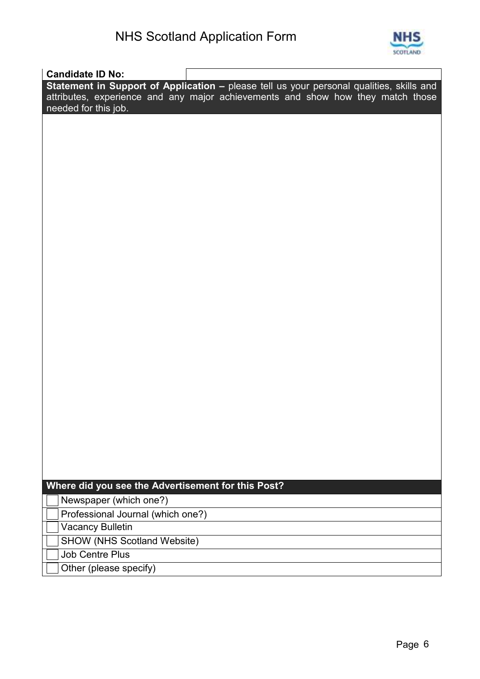

| <b>Candidate ID No:</b>                            |                                                                                          |
|----------------------------------------------------|------------------------------------------------------------------------------------------|
|                                                    | Statement in Support of Application - please tell us your personal qualities, skills and |
|                                                    | attributes, experience and any major achievements and show how they match those          |
| needed for this job.                               |                                                                                          |
|                                                    |                                                                                          |
|                                                    |                                                                                          |
|                                                    |                                                                                          |
|                                                    |                                                                                          |
|                                                    |                                                                                          |
|                                                    |                                                                                          |
|                                                    |                                                                                          |
|                                                    |                                                                                          |
|                                                    |                                                                                          |
|                                                    |                                                                                          |
|                                                    |                                                                                          |
|                                                    |                                                                                          |
|                                                    |                                                                                          |
|                                                    |                                                                                          |
|                                                    |                                                                                          |
|                                                    |                                                                                          |
|                                                    |                                                                                          |
|                                                    |                                                                                          |
|                                                    |                                                                                          |
|                                                    |                                                                                          |
|                                                    |                                                                                          |
|                                                    |                                                                                          |
|                                                    |                                                                                          |
|                                                    |                                                                                          |
|                                                    |                                                                                          |
|                                                    |                                                                                          |
|                                                    |                                                                                          |
| Where did you see the Advertisement for this Post? |                                                                                          |
| Newspaper (which one?)                             |                                                                                          |
| Professional Journal (which one?)                  |                                                                                          |
| <b>Vacancy Bulletin</b>                            |                                                                                          |
| <b>SHOW (NHS Scotland Website)</b>                 |                                                                                          |
| <b>Job Centre Plus</b>                             |                                                                                          |
| Other (please specify)                             |                                                                                          |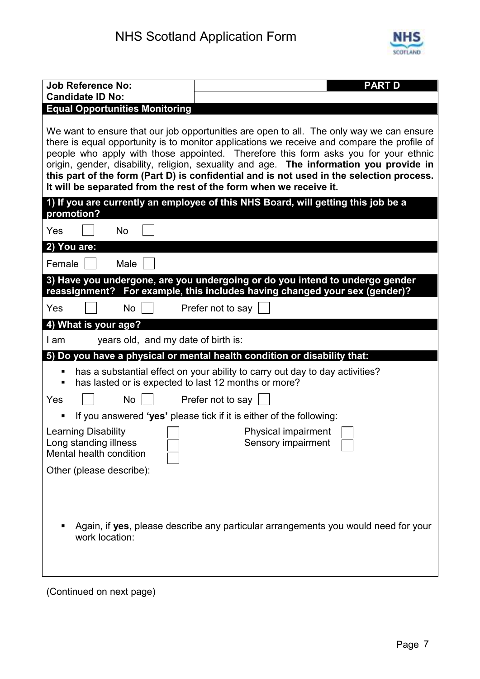

| <b>Job Reference No:</b><br><b>Candidate ID No:</b>                                 | <b>PART D</b>                                                                                                                                                                                                                                                                                                                                                                                                                                                         |
|-------------------------------------------------------------------------------------|-----------------------------------------------------------------------------------------------------------------------------------------------------------------------------------------------------------------------------------------------------------------------------------------------------------------------------------------------------------------------------------------------------------------------------------------------------------------------|
| <b>Equal Opportunities Monitoring</b>                                               |                                                                                                                                                                                                                                                                                                                                                                                                                                                                       |
| It will be separated from the rest of the form when we receive it.                  | We want to ensure that our job opportunities are open to all. The only way we can ensure<br>there is equal opportunity is to monitor applications we receive and compare the profile of<br>people who apply with those appointed. Therefore this form asks you for your ethnic<br>origin, gender, disability, religion, sexuality and age. The information you provide in<br>this part of the form (Part D) is confidential and is not used in the selection process. |
| promotion?                                                                          | 1) If you are currently an employee of this NHS Board, will getting this job be a                                                                                                                                                                                                                                                                                                                                                                                     |
| <b>No</b><br>Yes                                                                    |                                                                                                                                                                                                                                                                                                                                                                                                                                                                       |
| 2) You are:                                                                         |                                                                                                                                                                                                                                                                                                                                                                                                                                                                       |
| Female<br>Male                                                                      |                                                                                                                                                                                                                                                                                                                                                                                                                                                                       |
|                                                                                     | 3) Have you undergone, are you undergoing or do you intend to undergo gender<br>reassignment? For example, this includes having changed your sex (gender)?                                                                                                                                                                                                                                                                                                            |
| Yes<br><b>No</b>                                                                    | Prefer not to say                                                                                                                                                                                                                                                                                                                                                                                                                                                     |
| 4) What is your age?                                                                |                                                                                                                                                                                                                                                                                                                                                                                                                                                                       |
| years old, and my date of birth is:<br>I am                                         |                                                                                                                                                                                                                                                                                                                                                                                                                                                                       |
|                                                                                     | 5) Do you have a physical or mental health condition or disability that:                                                                                                                                                                                                                                                                                                                                                                                              |
| has lasted or is expected to last 12 months or more?<br>٠<br><b>No</b><br>Yes       | has a substantial effect on your ability to carry out day to day activities?<br>Prefer not to say                                                                                                                                                                                                                                                                                                                                                                     |
|                                                                                     |                                                                                                                                                                                                                                                                                                                                                                                                                                                                       |
| ш<br><b>Learning Disability</b><br>Long standing illness<br>Mental health condition | If you answered 'yes' please tick if it is either of the following:<br>Physical impairment<br>Sensory impairment                                                                                                                                                                                                                                                                                                                                                      |
| Other (please describe):                                                            |                                                                                                                                                                                                                                                                                                                                                                                                                                                                       |
| work location:                                                                      | Again, if yes, please describe any particular arrangements you would need for your                                                                                                                                                                                                                                                                                                                                                                                    |
| (Continued on next page)                                                            |                                                                                                                                                                                                                                                                                                                                                                                                                                                                       |

Page 7